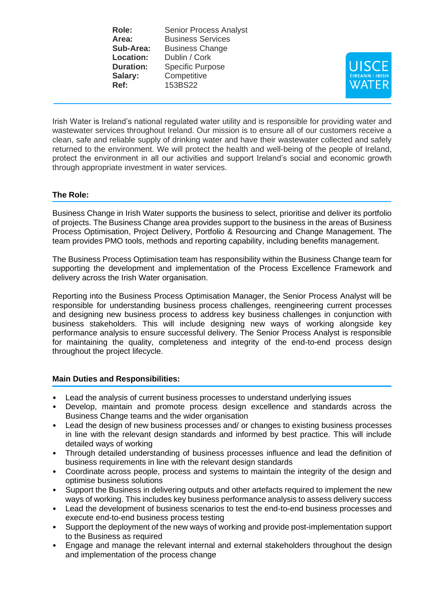**Role:** Senior Process Analyst Area: Business Services **Sub-Area:** Business Change **Location:** Dublin / Cork **Duration:** Specific Purpose **Salary:** Competitive **Ref:** 153BS22



Irish Water is Ireland's national regulated water utility and is responsible for providing water and wastewater services throughout Ireland. Our mission is to ensure all of our customers receive a clean, safe and reliable supply of drinking water and have their wastewater collected and safely returned to the environment. We will protect the health and well-being of the people of Ireland, protect the environment in all our activities and support Ireland's social and economic growth through appropriate investment in water services.

## **The Role:**

Business Change in Irish Water supports the business to select, prioritise and deliver its portfolio of projects. The Business Change area provides support to the business in the areas of Business Process Optimisation, Project Delivery, Portfolio & Resourcing and Change Management. The team provides PMO tools, methods and reporting capability, including benefits management.

The Business Process Optimisation team has responsibility within the Business Change team for supporting the development and implementation of the Process Excellence Framework and delivery across the Irish Water organisation.

Reporting into the Business Process Optimisation Manager, the Senior Process Analyst will be responsible for understanding business process challenges, reengineering current processes and designing new business process to address key business challenges in conjunction with business stakeholders. This will include designing new ways of working alongside key performance analysis to ensure successful delivery. The Senior Process Analyst is responsible for maintaining the quality, completeness and integrity of the end-to-end process design throughout the project lifecycle.

## **Main Duties and Responsibilities:**

- Lead the analysis of current business processes to understand underlying issues
- Develop, maintain and promote process design excellence and standards across the Business Change teams and the wider organisation
- Lead the design of new business processes and/ or changes to existing business processes in line with the relevant design standards and informed by best practice. This will include detailed ways of working
- Through detailed understanding of business processes influence and lead the definition of business requirements in line with the relevant design standards
- Coordinate across people, process and systems to maintain the integrity of the design and optimise business solutions
- Support the Business in delivering outputs and other artefacts required to implement the new ways of working. This includes key business performance analysis to assess delivery success
- Lead the development of business scenarios to test the end-to-end business processes and execute end-to-end business process testing
- Support the deployment of the new ways of working and provide post-implementation support to the Business as required
- Engage and manage the relevant internal and external stakeholders throughout the design and implementation of the process change